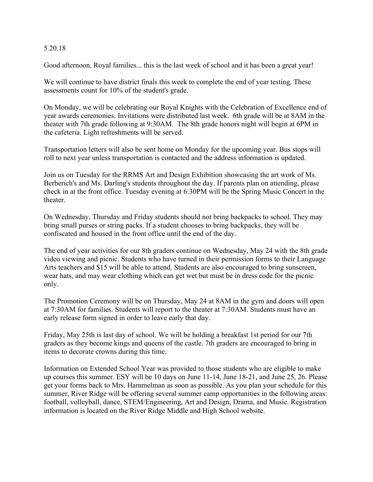#### 5.20.18

Good afternoon, Royal families... this is the last week of school and it has been a great year!

We will continue to have district finals this week to complete the end of year testing. These assessments count for 10% of the student's grade.

On Monday, we will be celebrating our Royal Knights with the Celebration of Excellence end of year awards ceremonies. Invitations were distributed last week. 6th grade will be at 8AM in the theater with 7th grade following at 9:30AM. The 8th grade honors night will begin at 6PM in the cafeteria. Light refreshments will be served.

Transportation letters will also be sent home on Monday for the upcoming year. Bus stops will roll to next year unless transportation is contacted and the address information is updated.

Join us on Tuesday for the RRMS Art and Design Exhibition showcasing the art work of Ms. Berberich's and Ms. Darling's students throughout the day. If parents plan on attending, please check in at the front office. Tuesday evening at 6:30PM will be the Spring Music Concert in the theater.

On Wednesday, Thursday and Friday students should not bring backpacks to school. They may bring small purses or string packs. If a student chooses to bring backpacks, they will be confiscated and housed in the front office until the end of the day.

The end of year activities for our 8th graders continue on Wednesday, May 24 with the 8th grade video viewing and picnic. Students who have turned in their permission forms to their Language Arts teachers and \$15 will be able to attend. Students are also encouraged to bring sunscreen, wear hats, and may wear clothing which can get wet but must be in dress code for the picnic only.

The Promotion Ceremony will be on Thursday, May 24 at 8AM in the gym and doors will open at 7:30AM for families. Students will report to the theater at 7:30AM. Students must have an early release form signed in order to leave early that day.

Friday, May 25th is last day of school. We will be holding a breakfast 1st period for our 7th graders as they become kings and queens of the castle. 7th graders are encouraged to bring in items to decorate crowns during this time.

Information on Extended School Year was provided to those students who are eligible to make up courses this summer. ESY will be 10 days on June 11-14, June 18-21, and June 25, 26. Please get your forms back to Mrs. Hammelman as soon as possible. As you plan your schedule for this summer, River Ridge will be offering several summer camp opportunities in the following areas: football, volleyball, dance, STEM/Engineering, Art and Design, Drama, and Music. Registration information is located on the River Ridge Middle and High School website.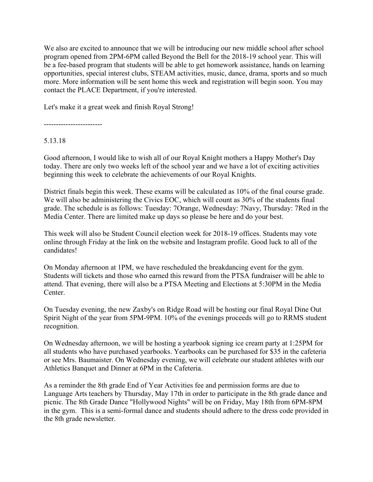We also are excited to announce that we will be introducing our new middle school after school program opened from 2PM-6PM called Beyond the Bell for the 2018-19 school year. This will be a fee-based program that students will be able to get homework assistance, hands on learning opportunities, special interest clubs, STEAM activities, music, dance, drama, sports and so much more. More information will be sent home this week and registration will begin soon. You may contact the PLACE Department, if you're interested.

Let's make it a great week and finish Royal Strong!

------------------------

## 5.13.18

Good afternoon, I would like to wish all of our Royal Knight mothers a Happy Mother's Day today. There are only two weeks left of the school year and we have a lot of exciting activities beginning this week to celebrate the achievements of our Royal Knights.

District finals begin this week. These exams will be calculated as 10% of the final course grade. We will also be administering the Civics EOC, which will count as 30% of the students final grade. The schedule is as follows: Tuesday: 7Orange, Wednesday: 7Navy, Thursday: 7Red in the Media Center. There are limited make up days so please be here and do your best.

This week will also be Student Council election week for 2018-19 offices. Students may vote online through Friday at the link on the website and Instagram profile. Good luck to all of the candidates!

On Monday afternoon at 1PM, we have rescheduled the breakdancing event for the gym. Students will tickets and those who earned this reward from the PTSA fundraiser will be able to attend. That evening, there will also be a PTSA Meeting and Elections at 5:30PM in the Media **Center** 

On Tuesday evening, the new Zaxby's on Ridge Road will be hosting our final Royal Dine Out Spirit Night of the year from 5PM-9PM. 10% of the evenings proceeds will go to RRMS student recognition.

On Wednesday afternoon, we will be hosting a yearbook signing ice cream party at 1:25PM for all students who have purchased yearbooks. Yearbooks can be purchased for \$35 in the cafeteria or see Mrs. Baumaister. On Wednesday evening, we will celebrate our student athletes with our Athletics Banquet and Dinner at 6PM in the Cafeteria.

As a reminder the 8th grade End of Year Activities fee and permission forms are due to Language Arts teachers by Thursday, May 17th in order to participate in the 8th grade dance and picnic. The 8th Grade Dance "Hollywood Nights" will be on Friday, May 18th from 6PM-8PM in the gym. This is a semi-formal dance and students should adhere to the dress code provided in the 8th grade newsletter.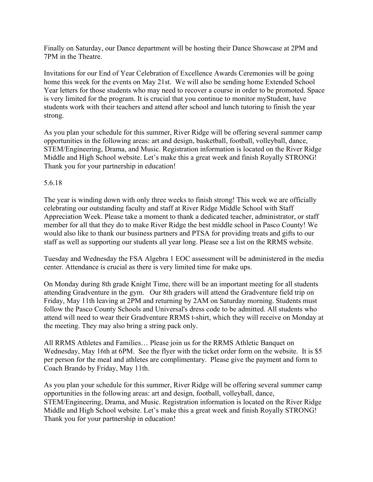Finally on Saturday, our Dance department will be hosting their Dance Showcase at 2PM and 7PM in the Theatre.

Invitations for our End of Year Celebration of Excellence Awards Ceremonies will be going home this week for the events on May 21st. We will also be sending home Extended School Year letters for those students who may need to recover a course in order to be promoted. Space is very limited for the program. It is crucial that you continue to monitor myStudent, have students work with their teachers and attend after school and lunch tutoring to finish the year strong.

As you plan your schedule for this summer, River Ridge will be offering several summer camp opportunities in the following areas: art and design, basketball, football, volleyball, dance, STEM/Engineering, Drama, and Music. Registration information is located on the River Ridge Middle and High School website. Let's make this a great week and finish Royally STRONG! Thank you for your partnership in education!

## 5.6.18

The year is winding down with only three weeks to finish strong! This week we are officially celebrating our outstanding faculty and staff at River Ridge Middle School with Staff Appreciation Week. Please take a moment to thank a dedicated teacher, administrator, or staff member for all that they do to make River Ridge the best middle school in Pasco County! We would also like to thank our business partners and PTSA for providing treats and gifts to our staff as well as supporting our students all year long. Please see a list on the RRMS website.

Tuesday and Wednesday the FSA Algebra 1 EOC assessment will be administered in the media center. Attendance is crucial as there is very limited time for make ups.

On Monday during 8th grade Knight Time, there will be an important meeting for all students attending Gradventure in the gym. Our 8th graders will attend the Gradventure field trip on Friday, May 11th leaving at 2PM and returning by 2AM on Saturday morning. Students must follow the Pasco County Schools and Universal's dress code to be admitted. All students who attend will need to wear their Gradventure RRMS t-shirt, which they will receive on Monday at the meeting. They may also bring a string pack only.

All RRMS Athletes and Families… Please join us for the RRMS Athletic Banquet on Wednesday, May 16th at 6PM. See the flyer with the ticket order form on the website. It is \$5 per person for the meal and athletes are complimentary. Please give the payment and form to Coach Brando by Friday, May 11th.

As you plan your schedule for this summer, River Ridge will be offering several summer camp opportunities in the following areas: art and design, football, volleyball, dance, STEM/Engineering, Drama, and Music. Registration information is located on the River Ridge Middle and High School website. Let's make this a great week and finish Royally STRONG! Thank you for your partnership in education!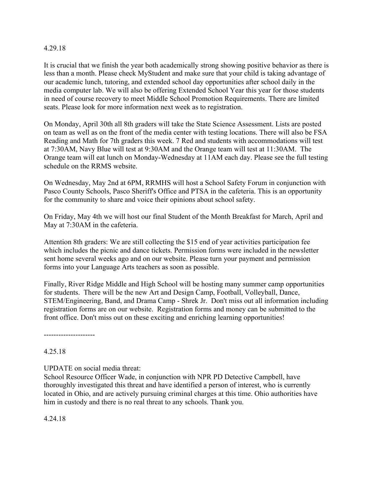#### 4.29.18

It is crucial that we finish the year both academically strong showing positive behavior as there is less than a month. Please check MyStudent and make sure that your child is taking advantage of our academic lunch, tutoring, and extended school day opportunities after school daily in the media computer lab. We will also be offering Extended School Year this year for those students in need of course recovery to meet Middle School Promotion Requirements. There are limited seats. Please look for more information next week as to registration.

On Monday, April 30th all 8th graders will take the State Science Assessment. Lists are posted on team as well as on the front of the media center with testing locations. There will also be FSA Reading and Math for 7th graders this week. 7 Red and students with accommodations will test at 7:30AM, Navy Blue will test at 9:30AM and the Orange team will test at 11:30AM. The Orange team will eat lunch on Monday-Wednesday at 11AM each day. Please see the full testing schedule on the RRMS website.

On Wednesday, May 2nd at 6PM, RRMHS will host a School Safety Forum in conjunction with Pasco County Schools, Pasco Sheriff's Office and PTSA in the cafeteria. This is an opportunity for the community to share and voice their opinions about school safety.

On Friday, May 4th we will host our final Student of the Month Breakfast for March, April and May at 7:30AM in the cafeteria.

Attention 8th graders: We are still collecting the \$15 end of year activities participation fee which includes the picnic and dance tickets. Permission forms were included in the newsletter sent home several weeks ago and on our website. Please turn your payment and permission forms into your Language Arts teachers as soon as possible.

Finally, River Ridge Middle and High School will be hosting many summer camp opportunities for students. There will be the new Art and Design Camp, Football, Volleyball, Dance, STEM/Engineering, Band, and Drama Camp - Shrek Jr. Don't miss out all information including registration forms are on our website. Registration forms and money can be submitted to the front office. Don't miss out on these exciting and enriching learning opportunities!

---------------------

## 4.25.18

UPDATE on social media threat:

School Resource Officer Wade, in conjunction with NPR PD Detective Campbell, have thoroughly investigated this threat and have identified a person of interest, who is currently located in Ohio, and are actively pursuing criminal charges at this time. Ohio authorities have him in custody and there is no real threat to any schools. Thank you.

4.24.18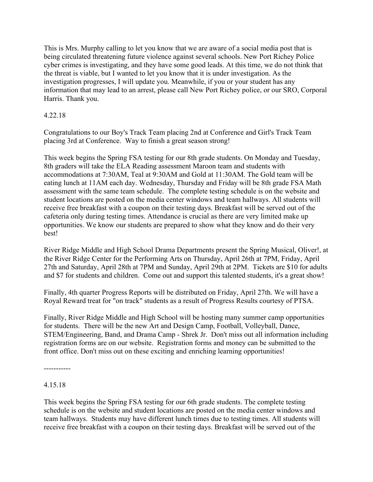This is Mrs. Murphy calling to let you know that we are aware of a social media post that is being circulated threatening future violence against several schools. New Port Richey Police cyber crimes is investigating, and they have some good leads. At this time, we do not think that the threat is viable, but I wanted to let you know that it is under investigation. As the investigation progresses, I will update you. Meanwhile, if you or your student has any information that may lead to an arrest, please call New Port Richey police, or our SRO, Corporal Harris. Thank you.

# 4.22.18

Congratulations to our Boy's Track Team placing 2nd at Conference and Girl's Track Team placing 3rd at Conference. Way to finish a great season strong!

This week begins the Spring FSA testing for our 8th grade students. On Monday and Tuesday, 8th graders will take the ELA Reading assessment Maroon team and students with accommodations at 7:30AM, Teal at 9:30AM and Gold at 11:30AM. The Gold team will be eating lunch at 11AM each day. Wednesday, Thursday and Friday will be 8th grade FSA Math assessment with the same team schedule. The complete testing schedule is on the website and student locations are posted on the media center windows and team hallways. All students will receive free breakfast with a coupon on their testing days. Breakfast will be served out of the cafeteria only during testing times. Attendance is crucial as there are very limited make up opportunities. We know our students are prepared to show what they know and do their very best!

River Ridge Middle and High School Drama Departments present the Spring Musical, Oliver!, at the River Ridge Center for the Performing Arts on Thursday, April 26th at 7PM, Friday, April 27th and Saturday, April 28th at 7PM and Sunday, April 29th at 2PM. Tickets are \$10 for adults and \$7 for students and children. Come out and support this talented students, it's a great show!

Finally, 4th quarter Progress Reports will be distributed on Friday, April 27th. We will have a Royal Reward treat for "on track" students as a result of Progress Results courtesy of PTSA.

Finally, River Ridge Middle and High School will be hosting many summer camp opportunities for students. There will be the new Art and Design Camp, Football, Volleyball, Dance, STEM/Engineering, Band, and Drama Camp - Shrek Jr. Don't miss out all information including registration forms are on our website. Registration forms and money can be submitted to the front office. Don't miss out on these exciting and enriching learning opportunities!

-----------

# 4.15.18

This week begins the Spring FSA testing for our 6th grade students. The complete testing schedule is on the website and student locations are posted on the media center windows and team hallways. Students may have different lunch times due to testing times. All students will receive free breakfast with a coupon on their testing days. Breakfast will be served out of the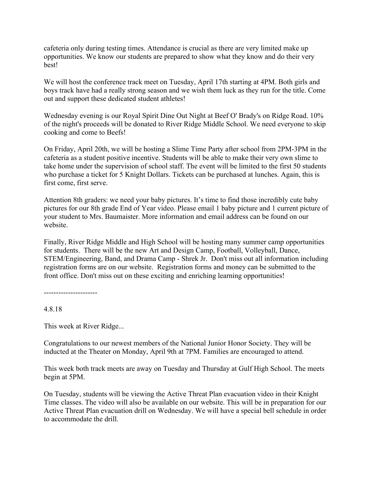cafeteria only during testing times. Attendance is crucial as there are very limited make up opportunities. We know our students are prepared to show what they know and do their very best!

We will host the conference track meet on Tuesday, April 17th starting at 4PM. Both girls and boys track have had a really strong season and we wish them luck as they run for the title. Come out and support these dedicated student athletes!

Wednesday evening is our Royal Spirit Dine Out Night at Beef O' Brady's on Ridge Road. 10% of the night's proceeds will be donated to River Ridge Middle School. We need everyone to skip cooking and come to Beefs!

On Friday, April 20th, we will be hosting a Slime Time Party after school from 2PM-3PM in the cafeteria as a student positive incentive. Students will be able to make their very own slime to take home under the supervision of school staff. The event will be limited to the first 50 students who purchase a ticket for 5 Knight Dollars. Tickets can be purchased at lunches. Again, this is first come, first serve.

Attention 8th graders: we need your baby pictures. It's time to find those incredibly cute baby pictures for our 8th grade End of Year video. Please email 1 baby picture and 1 current picture of your student to Mrs. Baumaister. More information and email address can be found on our website.

Finally, River Ridge Middle and High School will be hosting many summer camp opportunities for students. There will be the new Art and Design Camp, Football, Volleyball, Dance, STEM/Engineering, Band, and Drama Camp - Shrek Jr. Don't miss out all information including registration forms are on our website. Registration forms and money can be submitted to the front office. Don't miss out on these exciting and enriching learning opportunities!

----------------------

4.8.18

This week at River Ridge...

Congratulations to our newest members of the National Junior Honor Society. They will be inducted at the Theater on Monday, April 9th at 7PM. Families are encouraged to attend.

This week both track meets are away on Tuesday and Thursday at Gulf High School. The meets begin at 5PM.

On Tuesday, students will be viewing the Active Threat Plan evacuation video in their Knight Time classes. The video will also be available on our website. This will be in preparation for our Active Threat Plan evacuation drill on Wednesday. We will have a special bell schedule in order to accommodate the drill.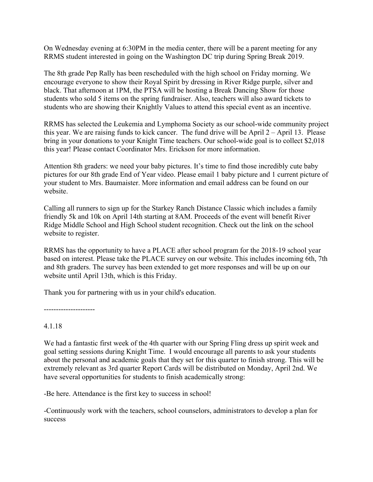On Wednesday evening at 6:30PM in the media center, there will be a parent meeting for any RRMS student interested in going on the Washington DC trip during Spring Break 2019.

The 8th grade Pep Rally has been rescheduled with the high school on Friday morning. We encourage everyone to show their Royal Spirit by dressing in River Ridge purple, silver and black. That afternoon at 1PM, the PTSA will be hosting a Break Dancing Show for those students who sold 5 items on the spring fundraiser. Also, teachers will also award tickets to students who are showing their Knightly Values to attend this special event as an incentive.

RRMS has selected the Leukemia and Lymphoma Society as our school-wide community project this year. We are raising funds to kick cancer. The fund drive will be April 2 – April 13. Please bring in your donations to your Knight Time teachers. Our school-wide goal is to collect \$2,018 this year! Please contact Coordinator Mrs. Erickson for more information.

Attention 8th graders: we need your baby pictures. It's time to find those incredibly cute baby pictures for our 8th grade End of Year video. Please email 1 baby picture and 1 current picture of your student to Mrs. Baumaister. More information and email address can be found on our website.

Calling all runners to sign up for the Starkey Ranch Distance Classic which includes a family friendly 5k and 10k on April 14th starting at 8AM. Proceeds of the event will benefit River Ridge Middle School and High School student recognition. Check out the link on the school website to register.

RRMS has the opportunity to have a PLACE after school program for the 2018-19 school year based on interest. Please take the PLACE survey on our website. This includes incoming 6th, 7th and 8th graders. The survey has been extended to get more responses and will be up on our website until April 13th, which is this Friday.

Thank you for partnering with us in your child's education.

---------------------

## 4.1.18

We had a fantastic first week of the 4th quarter with our Spring Fling dress up spirit week and goal setting sessions during Knight Time. I would encourage all parents to ask your students about the personal and academic goals that they set for this quarter to finish strong. This will be extremely relevant as 3rd quarter Report Cards will be distributed on Monday, April 2nd. We have several opportunities for students to finish academically strong:

-Be here. Attendance is the first key to success in school!

-Continuously work with the teachers, school counselors, administrators to develop a plan for success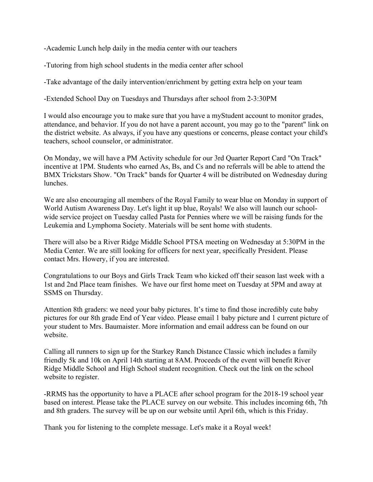-Academic Lunch help daily in the media center with our teachers

-Tutoring from high school students in the media center after school

-Take advantage of the daily intervention/enrichment by getting extra help on your team

-Extended School Day on Tuesdays and Thursdays after school from 2-3:30PM

I would also encourage you to make sure that you have a myStudent account to monitor grades, attendance, and behavior. If you do not have a parent account, you may go to the "parent" link on the district website. As always, if you have any questions or concerns, please contact your child's teachers, school counselor, or administrator.

On Monday, we will have a PM Activity schedule for our 3rd Quarter Report Card "On Track" incentive at 1PM. Students who earned As, Bs, and Cs and no referrals will be able to attend the BMX Trickstars Show. "On Track" bands for Quarter 4 will be distributed on Wednesday during lunches.

We are also encouraging all members of the Royal Family to wear blue on Monday in support of World Autism Awareness Day. Let's light it up blue, Royals! We also will launch our schoolwide service project on Tuesday called Pasta for Pennies where we will be raising funds for the Leukemia and Lymphoma Society. Materials will be sent home with students.

There will also be a River Ridge Middle School PTSA meeting on Wednesday at 5:30PM in the Media Center. We are still looking for officers for next year, specifically President. Please contact Mrs. Howery, if you are interested.

Congratulations to our Boys and Girls Track Team who kicked off their season last week with a 1st and 2nd Place team finishes. We have our first home meet on Tuesday at 5PM and away at SSMS on Thursday.

Attention 8th graders: we need your baby pictures. It's time to find those incredibly cute baby pictures for our 8th grade End of Year video. Please email 1 baby picture and 1 current picture of your student to Mrs. Baumaister. More information and email address can be found on our website.

Calling all runners to sign up for the Starkey Ranch Distance Classic which includes a family friendly 5k and 10k on April 14th starting at 8AM. Proceeds of the event will benefit River Ridge Middle School and High School student recognition. Check out the link on the school website to register.

-RRMS has the opportunity to have a PLACE after school program for the 2018-19 school year based on interest. Please take the PLACE survey on our website. This includes incoming 6th, 7th and 8th graders. The survey will be up on our website until April 6th, which is this Friday.

Thank you for listening to the complete message. Let's make it a Royal week!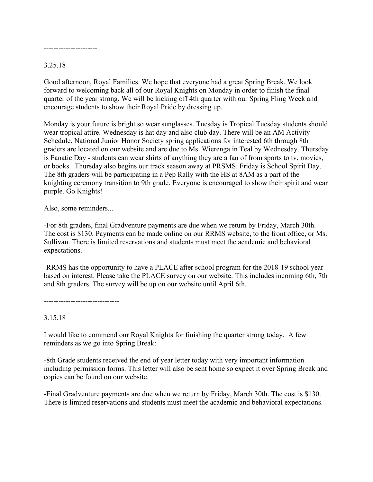----------------------

## 3.25.18

Good afternoon, Royal Families. We hope that everyone had a great Spring Break. We look forward to welcoming back all of our Royal Knights on Monday in order to finish the final quarter of the year strong. We will be kicking off 4th quarter with our Spring Fling Week and encourage students to show their Royal Pride by dressing up.

Monday is your future is bright so wear sunglasses. Tuesday is Tropical Tuesday students should wear tropical attire. Wednesday is hat day and also club day. There will be an AM Activity Schedule. National Junior Honor Society spring applications for interested 6th through 8th graders are located on our website and are due to Ms. Wierenga in Teal by Wednesday. Thursday is Fanatic Day - students can wear shirts of anything they are a fan of from sports to tv, movies, or books. Thursday also begins our track season away at PRSMS. Friday is School Spirit Day. The 8th graders will be participating in a Pep Rally with the HS at 8AM as a part of the knighting ceremony transition to 9th grade. Everyone is encouraged to show their spirit and wear purple. Go Knights!

Also, some reminders...

-For 8th graders, final Gradventure payments are due when we return by Friday, March 30th. The cost is \$130. Payments can be made online on our RRMS website, to the front office, or Ms. Sullivan. There is limited reservations and students must meet the academic and behavioral expectations.

-RRMS has the opportunity to have a PLACE after school program for the 2018-19 school year based on interest. Please take the PLACE survey on our website. This includes incoming 6th, 7th and 8th graders. The survey will be up on our website until April 6th.

-------------------------------

## 3.15.18

I would like to commend our Royal Knights for finishing the quarter strong today. A few reminders as we go into Spring Break:

-8th Grade students received the end of year letter today with very important information including permission forms. This letter will also be sent home so expect it over Spring Break and copies can be found on our website.

-Final Gradventure payments are due when we return by Friday, March 30th. The cost is \$130. There is limited reservations and students must meet the academic and behavioral expectations.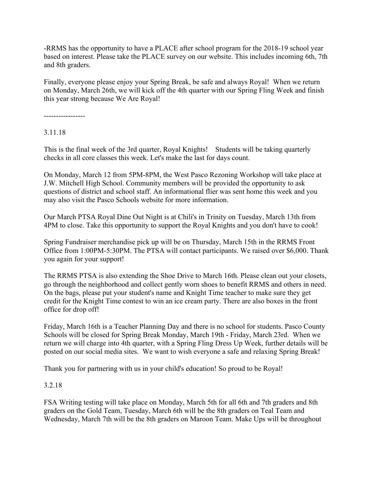-RRMS has the opportunity to have a PLACE after school program for the 2018-19 school year based on interest. Please take the PLACE survey on our website. This includes incoming 6th, 7th and 8th graders.

Finally, everyone please enjoy your Spring Break, be safe and always Royal! When we return on Monday, March 26th, we will kick off the 4th quarter with our Spring Fling Week and finish this year strong because We Are Royal!

-----------------

3.11.18

This is the final week of the 3rd quarter, Royal Knights! Students will be taking quarterly checks in all core classes this week. Let's make the last for days count.

On Monday, March 12 from 5PM-8PM, the West Pasco Rezoning Workshop will take place at J.W. Mitchell High School. Community members will be provided the opportunity to ask questions of district and school staff. An informational flier was sent home this week and you may also visit the Pasco Schools website for more information.

Our March PTSA Royal Dine Out Night is at Chili's in Trinity on Tuesday, March 13th from 4PM to close. Take this opportunity to support the Royal Knights and you don't have to cook!

Spring Fundraiser merchandise pick up will be on Thursday, March 15th in the RRMS Front Office from 1:00PM-5:30PM. The PTSA will contact participants. We raised over \$6,000. Thank you again for your support!

The RRMS PTSA is also extending the Shoe Drive to March 16th. Please clean out your closets, go through the neighborhood and collect gently worn shoes to benefit RRMS and others in need. On the bags, please put your student's name and Knight Time teacher to make sure they get credit for the Knight Time contest to win an ice cream party. There are also boxes in the front office for drop off!

Friday, March 16th is a Teacher Planning Day and there is no school for students. Pasco County Schools will be closed for Spring Break Monday, March 19th - Friday, March 23rd. When we return we will charge into 4th quarter, with a Spring Fling Dress Up Week, further details will be posted on our social media sites. We want to wish everyone a safe and relaxing Spring Break!

Thank you for partnering with us in your child's education! So proud to be Royal!

## 3.2.18

FSA Writing testing will take place on Monday, March 5th for all 6th and 7th graders and 8th graders on the Gold Team, Tuesday, March 6th will be the 8th graders on Teal Team and Wednesday, March 7th will be the 8th graders on Maroon Team. Make Ups will be throughout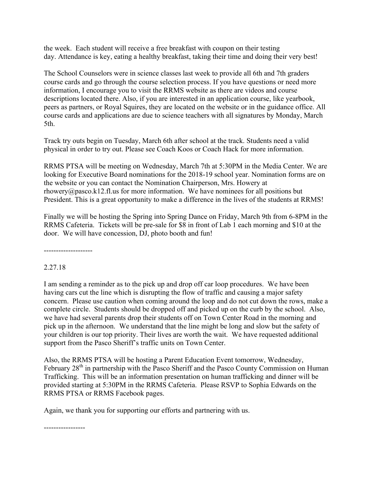the week. Each student will receive a free breakfast with coupon on their testing day. Attendance is key, eating a healthy breakfast, taking their time and doing their very best!

The School Counselors were in science classes last week to provide all 6th and 7th graders course cards and go through the course selection process. If you have questions or need more information, I encourage you to visit the RRMS website as there are videos and course descriptions located there. Also, if you are interested in an application course, like yearbook, peers as partners, or Royal Squires, they are located on the website or in the guidance office. All course cards and applications are due to science teachers with all signatures by Monday, March 5th.

Track try outs begin on Tuesday, March 6th after school at the track. Students need a valid physical in order to try out. Please see Coach Koos or Coach Hack for more information.

RRMS PTSA will be meeting on Wednesday, March 7th at 5:30PM in the Media Center. We are looking for Executive Board nominations for the 2018-19 school year. Nomination forms are on the website or you can contact the Nomination Chairperson, Mrs. Howery at rhowery@pasco.k12.fl.us for more information. We have nominees for all positions but President. This is a great opportunity to make a difference in the lives of the students at RRMS!

Finally we will be hosting the Spring into Spring Dance on Friday, March 9th from 6-8PM in the RRMS Cafeteria. Tickets will be pre-sale for \$8 in front of Lab 1 each morning and \$10 at the door. We will have concession, DJ, photo booth and fun!

--------------------

## 2.27.18

I am sending a reminder as to the pick up and drop off car loop procedures. We have been having cars cut the line which is disrupting the flow of traffic and causing a major safety concern. Please use caution when coming around the loop and do not cut down the rows, make a complete circle. Students should be dropped off and picked up on the curb by the school. Also, we have had several parents drop their students off on Town Center Road in the morning and pick up in the afternoon. We understand that the line might be long and slow but the safety of your children is our top priority. Their lives are worth the wait. We have requested additional support from the Pasco Sheriff's traffic units on Town Center.

Also, the RRMS PTSA will be hosting a Parent Education Event tomorrow, Wednesday, February 28<sup>th</sup> in partnership with the Pasco Sheriff and the Pasco County Commission on Human Trafficking. This will be an information presentation on human trafficking and dinner will be provided starting at 5:30PM in the RRMS Cafeteria. Please RSVP to Sophia Edwards on the RRMS PTSA or RRMS Facebook pages.

Again, we thank you for supporting our efforts and partnering with us.

-----------------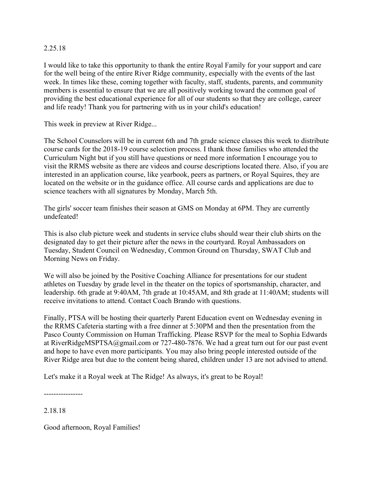#### 2.25.18

I would like to take this opportunity to thank the entire Royal Family for your support and care for the well being of the entire River Ridge community, especially with the events of the last week. In times like these, coming together with faculty, staff, students, parents, and community members is essential to ensure that we are all positively working toward the common goal of providing the best educational experience for all of our students so that they are college, career and life ready! Thank you for partnering with us in your child's education!

This week in preview at River Ridge...

The School Counselors will be in current 6th and 7th grade science classes this week to distribute course cards for the 2018-19 course selection process. I thank those families who attended the Curriculum Night but if you still have questions or need more information I encourage you to visit the RRMS website as there are videos and course descriptions located there. Also, if you are interested in an application course, like yearbook, peers as partners, or Royal Squires, they are located on the website or in the guidance office. All course cards and applications are due to science teachers with all signatures by Monday, March 5th.

The girls' soccer team finishes their season at GMS on Monday at 6PM. They are currently undefeated!

This is also club picture week and students in service clubs should wear their club shirts on the designated day to get their picture after the news in the courtyard. Royal Ambassadors on Tuesday, Student Council on Wednesday, Common Ground on Thursday, SWAT Club and Morning News on Friday.

We will also be joined by the Positive Coaching Alliance for presentations for our student athletes on Tuesday by grade level in the theater on the topics of sportsmanship, character, and leadership. 6th grade at 9:40AM, 7th grade at 10:45AM, and 8th grade at 11:40AM; students will receive invitations to attend. Contact Coach Brando with questions.

Finally, PTSA will be hosting their quarterly Parent Education event on Wednesday evening in the RRMS Cafeteria starting with a free dinner at 5:30PM and then the presentation from the Pasco County Commission on Human Trafficking. Please RSVP for the meal to Sophia Edwards at RiverRidgeMSPTSA@gmail.com or 727-480-7876. We had a great turn out for our past event and hope to have even more participants. You may also bring people interested outside of the River Ridge area but due to the content being shared, children under 13 are not advised to attend.

Let's make it a Royal week at The Ridge! As always, it's great to be Royal!

----------------

2.18.18

Good afternoon, Royal Families!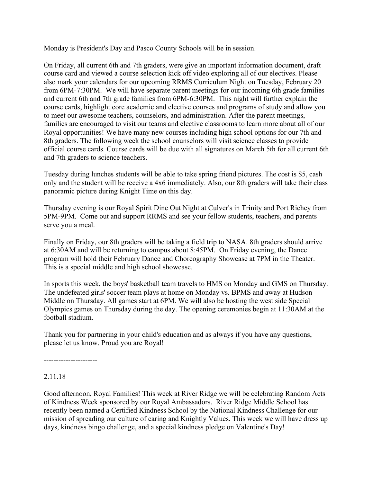Monday is President's Day and Pasco County Schools will be in session.

On Friday, all current 6th and 7th graders, were give an important information document, draft course card and viewed a course selection kick off video exploring all of our electives. Please also mark your calendars for our upcoming RRMS Curriculum Night on Tuesday, February 20 from 6PM-7:30PM. We will have separate parent meetings for our incoming 6th grade families and current 6th and 7th grade families from 6PM-6:30PM. This night will further explain the course cards, highlight core academic and elective courses and programs of study and allow you to meet our awesome teachers, counselors, and administration. After the parent meetings, families are encouraged to visit our teams and elective classrooms to learn more about all of our Royal opportunities! We have many new courses including high school options for our 7th and 8th graders. The following week the school counselors will visit science classes to provide official course cards. Course cards will be due with all signatures on March 5th for all current 6th and 7th graders to science teachers.

Tuesday during lunches students will be able to take spring friend pictures. The cost is \$5, cash only and the student will be receive a 4x6 immediately. Also, our 8th graders will take their class panoramic picture during Knight Time on this day.

Thursday evening is our Royal Spirit Dine Out Night at Culver's in Trinity and Port Richey from 5PM-9PM. Come out and support RRMS and see your fellow students, teachers, and parents serve you a meal.

Finally on Friday, our 8th graders will be taking a field trip to NASA. 8th graders should arrive at 6:30AM and will be returning to campus about 8:45PM. On Friday evening, the Dance program will hold their February Dance and Choreography Showcase at 7PM in the Theater. This is a special middle and high school showcase.

In sports this week, the boys' basketball team travels to HMS on Monday and GMS on Thursday. The undefeated girls' soccer team plays at home on Monday vs. BPMS and away at Hudson Middle on Thursday. All games start at 6PM. We will also be hosting the west side Special Olympics games on Thursday during the day. The opening ceremonies begin at 11:30AM at the football stadium.

Thank you for partnering in your child's education and as always if you have any questions, please let us know. Proud you are Royal!

----------------------

## 2.11.18

Good afternoon, Royal Families! This week at River Ridge we will be celebrating Random Acts of Kindness Week sponsored by our Royal Ambassadors. River Ridge Middle School has recently been named a Certified Kindness School by the National Kindness Challenge for our mission of spreading our culture of caring and Knightly Values. This week we will have dress up days, kindness bingo challenge, and a special kindness pledge on Valentine's Day!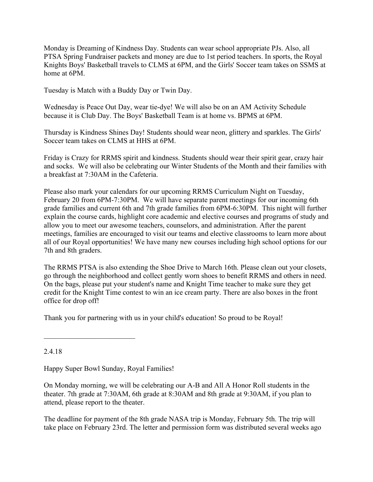Monday is Dreaming of Kindness Day. Students can wear school appropriate PJs. Also, all PTSA Spring Fundraiser packets and money are due to 1st period teachers. In sports, the Royal Knights Boys' Basketball travels to CLMS at 6PM, and the Girls' Soccer team takes on SSMS at home at 6PM.

Tuesday is Match with a Buddy Day or Twin Day.

Wednesday is Peace Out Day, wear tie-dye! We will also be on an AM Activity Schedule because it is Club Day. The Boys' Basketball Team is at home vs. BPMS at 6PM.

Thursday is Kindness Shines Day! Students should wear neon, glittery and sparkles. The Girls' Soccer team takes on CLMS at HHS at 6PM.

Friday is Crazy for RRMS spirit and kindness. Students should wear their spirit gear, crazy hair and socks. We will also be celebrating our Winter Students of the Month and their families with a breakfast at 7:30AM in the Cafeteria.

Please also mark your calendars for our upcoming RRMS Curriculum Night on Tuesday, February 20 from 6PM-7:30PM. We will have separate parent meetings for our incoming 6th grade families and current 6th and 7th grade families from 6PM-6:30PM. This night will further explain the course cards, highlight core academic and elective courses and programs of study and allow you to meet our awesome teachers, counselors, and administration. After the parent meetings, families are encouraged to visit our teams and elective classrooms to learn more about all of our Royal opportunities! We have many new courses including high school options for our 7th and 8th graders.

The RRMS PTSA is also extending the Shoe Drive to March 16th. Please clean out your closets, go through the neighborhood and collect gently worn shoes to benefit RRMS and others in need. On the bags, please put your student's name and Knight Time teacher to make sure they get credit for the Knight Time contest to win an ice cream party. There are also boxes in the front office for drop off!

Thank you for partnering with us in your child's education! So proud to be Royal!

2.4.18

Happy Super Bowl Sunday, Royal Families!

 $\mathcal{L}_\text{max}$  , where  $\mathcal{L}_\text{max}$  , we have the set of  $\mathcal{L}_\text{max}$ 

On Monday morning, we will be celebrating our A-B and All A Honor Roll students in the theater. 7th grade at 7:30AM, 6th grade at 8:30AM and 8th grade at 9:30AM, if you plan to attend, please report to the theater.

The deadline for payment of the 8th grade NASA trip is Monday, February 5th. The trip will take place on February 23rd. The letter and permission form was distributed several weeks ago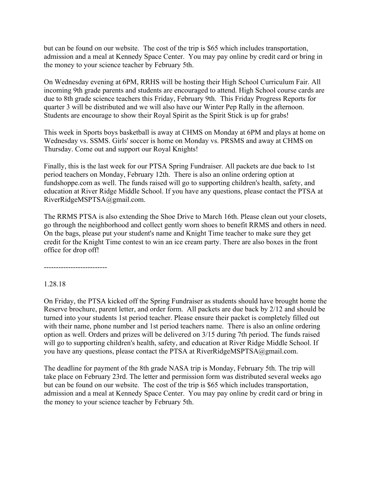but can be found on our website. The cost of the trip is \$65 which includes transportation, admission and a meal at Kennedy Space Center. You may pay online by credit card or bring in the money to your science teacher by February 5th.

On Wednesday evening at 6PM, RRHS will be hosting their High School Curriculum Fair. All incoming 9th grade parents and students are encouraged to attend. High School course cards are due to 8th grade science teachers this Friday, February 9th. This Friday Progress Reports for quarter 3 will be distributed and we will also have our Winter Pep Rally in the afternoon. Students are encourage to show their Royal Spirit as the Spirit Stick is up for grabs!

This week in Sports boys basketball is away at CHMS on Monday at 6PM and plays at home on Wednesday vs. SSMS. Girls' soccer is home on Monday vs. PRSMS and away at CHMS on Thursday. Come out and support our Royal Knights!

Finally, this is the last week for our PTSA Spring Fundraiser. All packets are due back to 1st period teachers on Monday, February 12th. There is also an online ordering option at fundshoppe.com as well. The funds raised will go to supporting children's health, safety, and education at River Ridge Middle School. If you have any questions, please contact the PTSA at RiverRidgeMSPTSA@gmail.com.

The RRMS PTSA is also extending the Shoe Drive to March 16th. Please clean out your closets, go through the neighborhood and collect gently worn shoes to benefit RRMS and others in need. On the bags, please put your student's name and Knight Time teacher to make sure they get credit for the Knight Time contest to win an ice cream party. There are also boxes in the front office for drop off!

--------------------------

1.28.18

On Friday, the PTSA kicked off the Spring Fundraiser as students should have brought home the Reserve brochure, parent letter, and order form. All packets are due back by 2/12 and should be turned into your students 1st period teacher. Please ensure their packet is completely filled out with their name, phone number and 1st period teachers name. There is also an online ordering option as well. Orders and prizes will be delivered on 3/15 during 7th period. The funds raised will go to supporting children's health, safety, and education at River Ridge Middle School. If you have any questions, please contact the PTSA at RiverRidgeMSPTSA@gmail.com.

The deadline for payment of the 8th grade NASA trip is Monday, February 5th. The trip will take place on February 23rd. The letter and permission form was distributed several weeks ago but can be found on our website. The cost of the trip is \$65 which includes transportation, admission and a meal at Kennedy Space Center. You may pay online by credit card or bring in the money to your science teacher by February 5th.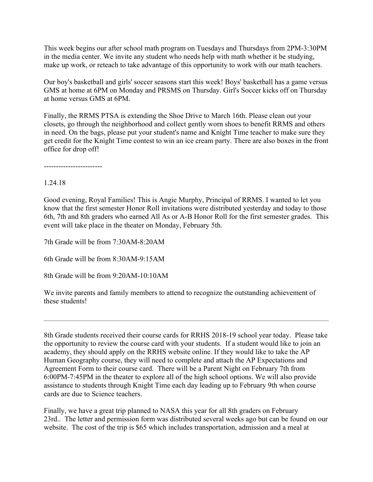This week begins our after school math program on Tuesdays and Thursdays from 2PM-3:30PM in the media center. We invite any student who needs help with math whether it be studying, make up work, or reteach to take advantage of this opportunity to work with our math teachers.

Our boy's basketball and girls' soccer seasons start this week! Boys' basketball has a game versus GMS at home at 6PM on Monday and PRSMS on Thursday. Girl's Soccer kicks off on Thursday at home versus GMS at 6PM.

Finally, the RRMS PTSA is extending the Shoe Drive to March 16th. Please clean out your closets, go through the neighborhood and collect gently worn shoes to benefit RRMS and others in need. On the bags, please put your student's name and Knight Time teacher to make sure they get credit for the Knight Time contest to win an ice cream party. There are also boxes in the front office for drop off!

------------------------

# 1.24.18

Good evening, Royal Families! This is Angie Murphy, Principal of RRMS. I wanted to let you know that the first semester Honor Roll invitations were distributed yesterday and today to those 6th, 7th and 8th graders who earned All As or A-B Honor Roll for the first semester grades. This event will take place in the theater on Monday, February 5th.

7th Grade will be from 7:30AM-8:20AM

6th Grade will be from 8:30AM-9:15AM

8th Grade will be from 9:20AM-10:10AM

We invite parents and family members to attend to recognize the outstanding achievement of these students!

8th Grade students received their course cards for RRHS 2018-19 school year today. Please take the opportunity to review the course card with your students. If a student would like to join an academy, they should apply on the RRHS website online. If they would like to take the AP Human Geography course, they will need to complete and attach the AP Expectations and Agreement Form to their course card. There will be a Parent Night on February 7th from 6:00PM-7:45PM in the theater to explore all of the high school options. We will also provide assistance to students through Knight Time each day leading up to February 9th when course cards are due to Science teachers.

Finally, we have a great trip planned to NASA this year for all 8th graders on February 23rd.. The letter and permission form was distributed several weeks ago but can be found on our website. The cost of the trip is \$65 which includes transportation, admission and a meal at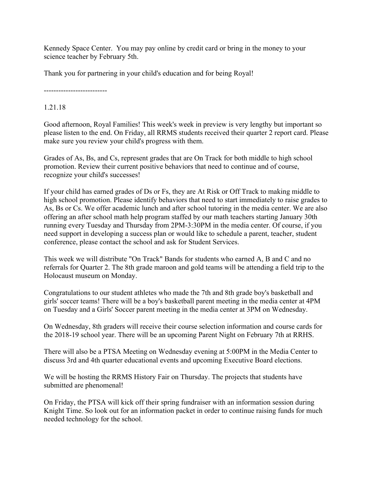Kennedy Space Center. You may pay online by credit card or bring in the money to your science teacher by February 5th.

Thank you for partnering in your child's education and for being Royal!

--------------------------

1.21.18

Good afternoon, Royal Families! This week's week in preview is very lengthy but important so please listen to the end. On Friday, all RRMS students received their quarter 2 report card. Please make sure you review your child's progress with them.

Grades of As, Bs, and Cs, represent grades that are On Track for both middle to high school promotion. Review their current positive behaviors that need to continue and of course, recognize your child's successes!

If your child has earned grades of Ds or Fs, they are At Risk or Off Track to making middle to high school promotion. Please identify behaviors that need to start immediately to raise grades to As, Bs or Cs. We offer academic lunch and after school tutoring in the media center. We are also offering an after school math help program staffed by our math teachers starting January 30th running every Tuesday and Thursday from 2PM-3:30PM in the media center. Of course, if you need support in developing a success plan or would like to schedule a parent, teacher, student conference, please contact the school and ask for Student Services.

This week we will distribute "On Track" Bands for students who earned A, B and C and no referrals for Quarter 2. The 8th grade maroon and gold teams will be attending a field trip to the Holocaust museum on Monday.

Congratulations to our student athletes who made the 7th and 8th grade boy's basketball and girls' soccer teams! There will be a boy's basketball parent meeting in the media center at 4PM on Tuesday and a Girls' Soccer parent meeting in the media center at 3PM on Wednesday.

On Wednesday, 8th graders will receive their course selection information and course cards for the 2018-19 school year. There will be an upcoming Parent Night on February 7th at RRHS.

There will also be a PTSA Meeting on Wednesday evening at 5:00PM in the Media Center to discuss 3rd and 4th quarter educational events and upcoming Executive Board elections.

We will be hosting the RRMS History Fair on Thursday. The projects that students have submitted are phenomenal!

On Friday, the PTSA will kick off their spring fundraiser with an information session during Knight Time. So look out for an information packet in order to continue raising funds for much needed technology for the school.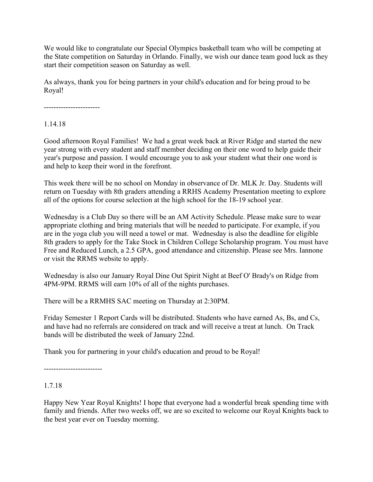We would like to congratulate our Special Olympics basketball team who will be competing at the State competition on Saturday in Orlando. Finally, we wish our dance team good luck as they start their competition season on Saturday as well.

As always, thank you for being partners in your child's education and for being proud to be Royal!

-----------------------

1.14.18

Good afternoon Royal Families! We had a great week back at River Ridge and started the new year strong with every student and staff member deciding on their one word to help guide their year's purpose and passion. I would encourage you to ask your student what their one word is and help to keep their word in the forefront.

This week there will be no school on Monday in observance of Dr. MLK Jr. Day. Students will return on Tuesday with 8th graders attending a RRHS Academy Presentation meeting to explore all of the options for course selection at the high school for the 18-19 school year.

Wednesday is a Club Day so there will be an AM Activity Schedule. Please make sure to wear appropriate clothing and bring materials that will be needed to participate. For example, if you are in the yoga club you will need a towel or mat. Wednesday is also the deadline for eligible 8th graders to apply for the Take Stock in Children College Scholarship program. You must have Free and Reduced Lunch, a 2.5 GPA, good attendance and citizenship. Please see Mrs. Iannone or visit the RRMS website to apply.

Wednesday is also our January Royal Dine Out Spirit Night at Beef O' Brady's on Ridge from 4PM-9PM. RRMS will earn 10% of all of the nights purchases.

There will be a RRMHS SAC meeting on Thursday at 2:30PM.

Friday Semester 1 Report Cards will be distributed. Students who have earned As, Bs, and Cs, and have had no referrals are considered on track and will receive a treat at lunch. On Track bands will be distributed the week of January 22nd.

Thank you for partnering in your child's education and proud to be Royal!

------------------------

# 1.7.18

Happy New Year Royal Knights! I hope that everyone had a wonderful break spending time with family and friends. After two weeks off, we are so excited to welcome our Royal Knights back to the best year ever on Tuesday morning.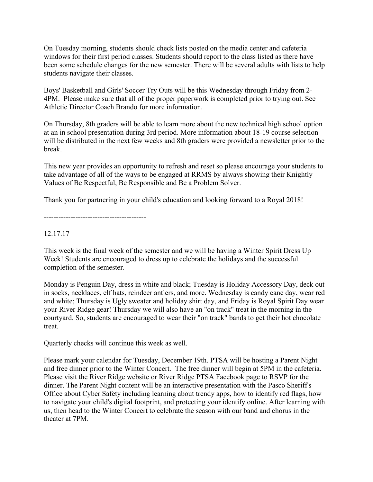On Tuesday morning, students should check lists posted on the media center and cafeteria windows for their first period classes. Students should report to the class listed as there have been some schedule changes for the new semester. There will be several adults with lists to help students navigate their classes.

Boys' Basketball and Girls' Soccer Try Outs will be this Wednesday through Friday from 2- 4PM. Please make sure that all of the proper paperwork is completed prior to trying out. See Athletic Director Coach Brando for more information.

On Thursday, 8th graders will be able to learn more about the new technical high school option at an in school presentation during 3rd period. More information about 18-19 course selection will be distributed in the next few weeks and 8th graders were provided a newsletter prior to the break.

This new year provides an opportunity to refresh and reset so please encourage your students to take advantage of all of the ways to be engaged at RRMS by always showing their Knightly Values of Be Respectful, Be Responsible and Be a Problem Solver.

Thank you for partnering in your child's education and looking forward to a Royal 2018!

------------------------------------------

## 12.17.17

This week is the final week of the semester and we will be having a Winter Spirit Dress Up Week! Students are encouraged to dress up to celebrate the holidays and the successful completion of the semester.

Monday is Penguin Day, dress in white and black; Tuesday is Holiday Accessory Day, deck out in socks, necklaces, elf hats, reindeer antlers, and more. Wednesday is candy cane day, wear red and white; Thursday is Ugly sweater and holiday shirt day, and Friday is Royal Spirit Day wear your River Ridge gear! Thursday we will also have an "on track" treat in the morning in the courtyard. So, students are encouraged to wear their "on track" bands to get their hot chocolate treat.

Quarterly checks will continue this week as well.

Please mark your calendar for Tuesday, December 19th. PTSA will be hosting a Parent Night and free dinner prior to the Winter Concert. The free dinner will begin at 5PM in the cafeteria. Please visit the River Ridge website or River Ridge PTSA Facebook page to RSVP for the dinner. The Parent Night content will be an interactive presentation with the Pasco Sheriff's Office about Cyber Safety including learning about trendy apps, how to identify red flags, how to navigate your child's digital footprint, and protecting your identify online. After learning with us, then head to the Winter Concert to celebrate the season with our band and chorus in the theater at 7PM.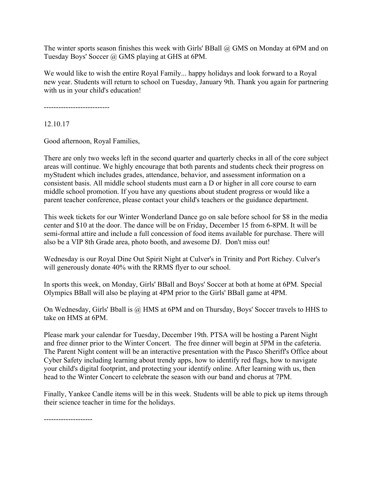The winter sports season finishes this week with Girls' BBall @ GMS on Monday at 6PM and on Tuesday Boys' Soccer @ GMS playing at GHS at 6PM.

We would like to wish the entire Royal Family... happy holidays and look forward to a Royal new year. Students will return to school on Tuesday, January 9th. Thank you again for partnering with us in your child's education!

---------------------------

12.10.17

Good afternoon, Royal Families,

There are only two weeks left in the second quarter and quarterly checks in all of the core subject areas will continue. We highly encourage that both parents and students check their progress on myStudent which includes grades, attendance, behavior, and assessment information on a consistent basis. All middle school students must earn a D or higher in all core course to earn middle school promotion. If you have any questions about student progress or would like a parent teacher conference, please contact your child's teachers or the guidance department.

This week tickets for our Winter Wonderland Dance go on sale before school for \$8 in the media center and \$10 at the door. The dance will be on Friday, December 15 from 6-8PM. It will be semi-formal attire and include a full concession of food items available for purchase. There will also be a VIP 8th Grade area, photo booth, and awesome DJ. Don't miss out!

Wednesday is our Royal Dine Out Spirit Night at Culver's in Trinity and Port Richey. Culver's will generously donate 40% with the RRMS flyer to our school.

In sports this week, on Monday, Girls' BBall and Boys' Soccer at both at home at 6PM. Special Olympics BBall will also be playing at 4PM prior to the Girls' BBall game at 4PM.

On Wednesday, Girls' Bball is @ HMS at 6PM and on Thursday, Boys' Soccer travels to HHS to take on HMS at 6PM.

Please mark your calendar for Tuesday, December 19th. PTSA will be hosting a Parent Night and free dinner prior to the Winter Concert. The free dinner will begin at 5PM in the cafeteria. The Parent Night content will be an interactive presentation with the Pasco Sheriff's Office about Cyber Safety including learning about trendy apps, how to identify red flags, how to navigate your child's digital footprint, and protecting your identify online. After learning with us, then head to the Winter Concert to celebrate the season with our band and chorus at 7PM.

Finally, Yankee Candle items will be in this week. Students will be able to pick up items through their science teacher in time for the holidays.

--------------------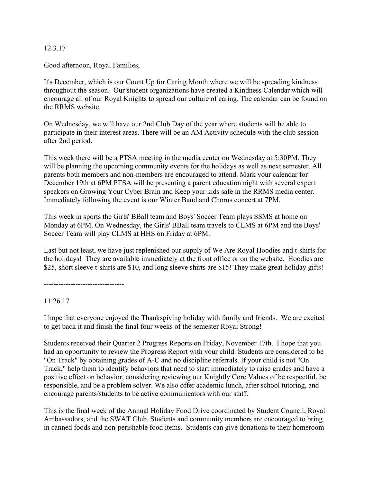#### 12.3.17

Good afternoon, Royal Families,

It's December, which is our Count Up for Caring Month where we will be spreading kindness throughout the season. Our student organizations have created a Kindness Calendar which will encourage all of our Royal Knights to spread our culture of caring. The calendar can be found on the RRMS website.

On Wednesday, we will have our 2nd Club Day of the year where students will be able to participate in their interest areas. There will be an AM Activity schedule with the club session after 2nd period.

This week there will be a PTSA meeting in the media center on Wednesday at 5:30PM. They will be planning the upcoming community events for the holidays as well as next semester. All parents both members and non-members are encouraged to attend. Mark your calendar for December 19th at 6PM PTSA will be presenting a parent education night with several expert speakers on Growing Your Cyber Brain and Keep your kids safe in the RRMS media center. Immediately following the event is our Winter Band and Chorus concert at 7PM.

This week in sports the Girls' BBall team and Boys' Soccer Team plays SSMS at home on Monday at 6PM. On Wednesday, the Girls' BBall team travels to CLMS at 6PM and the Boys' Soccer Team will play CLMS at HHS on Friday at 6PM.

Last but not least, we have just replenished our supply of We Are Royal Hoodies and t-shirts for the holidays! They are available immediately at the front office or on the website. Hoodies are \$25, short sleeve t-shirts are \$10, and long sleeve shirts are \$15! They make great holiday gifts!

---------------------------------

11.26.17

I hope that everyone enjoyed the Thanksgiving holiday with family and friends. We are excited to get back it and finish the final four weeks of the semester Royal Strong!

Students received their Quarter 2 Progress Reports on Friday, November 17th. I hope that you had an opportunity to review the Progress Report with your child. Students are considered to be "On Track" by obtaining grades of A-C and no discipline referrals. If your child is not "On Track," help them to identify behaviors that need to start immediately to raise grades and have a positive effect on behavior, considering reviewing our Knightly Core Values of be respectful, be responsible, and be a problem solver. We also offer academic lunch, after school tutoring, and encourage parents/students to be active communicators with our staff.

This is the final week of the Annual Holiday Food Drive coordinated by Student Council, Royal Ambassadors, and the SWAT Club. Students and community members are encouraged to bring in canned foods and non-perishable food items. Students can give donations to their homeroom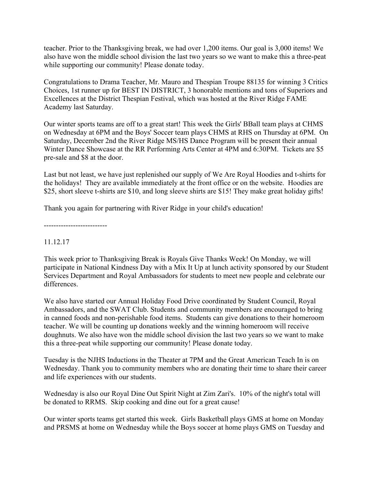teacher. Prior to the Thanksgiving break, we had over 1,200 items. Our goal is 3,000 items! We also have won the middle school division the last two years so we want to make this a three-peat while supporting our community! Please donate today.

Congratulations to Drama Teacher, Mr. Mauro and Thespian Troupe 88135 for winning 3 Critics Choices, 1st runner up for BEST IN DISTRICT, 3 honorable mentions and tons of Superiors and Excellences at the District Thespian Festival, which was hosted at the River Ridge FAME Academy last Saturday.

Our winter sports teams are off to a great start! This week the Girls' BBall team plays at CHMS on Wednesday at 6PM and the Boys' Soccer team plays CHMS at RHS on Thursday at 6PM. On Saturday, December 2nd the River Ridge MS/HS Dance Program will be present their annual Winter Dance Showcase at the RR Performing Arts Center at 4PM and 6:30PM. Tickets are \$5 pre-sale and \$8 at the door.

Last but not least, we have just replenished our supply of We Are Royal Hoodies and t-shirts for the holidays! They are available immediately at the front office or on the website. Hoodies are \$25, short sleeve t-shirts are \$10, and long sleeve shirts are \$15! They make great holiday gifts!

Thank you again for partnering with River Ridge in your child's education!

--------------------------

## 11.12.17

This week prior to Thanksgiving Break is Royals Give Thanks Week! On Monday, we will participate in National Kindness Day with a Mix It Up at lunch activity sponsored by our Student Services Department and Royal Ambassadors for students to meet new people and celebrate our differences.

We also have started our Annual Holiday Food Drive coordinated by Student Council, Royal Ambassadors, and the SWAT Club. Students and community members are encouraged to bring in canned foods and non-perishable food items. Students can give donations to their homeroom teacher. We will be counting up donations weekly and the winning homeroom will receive doughnuts. We also have won the middle school division the last two years so we want to make this a three-peat while supporting our community! Please donate today.

Tuesday is the NJHS Inductions in the Theater at 7PM and the Great American Teach In is on Wednesday. Thank you to community members who are donating their time to share their career and life experiences with our students.

Wednesday is also our Royal Dine Out Spirit Night at Zim Zari's. 10% of the night's total will be donated to RRMS. Skip cooking and dine out for a great cause!

Our winter sports teams get started this week. Girls Basketball plays GMS at home on Monday and PRSMS at home on Wednesday while the Boys soccer at home plays GMS on Tuesday and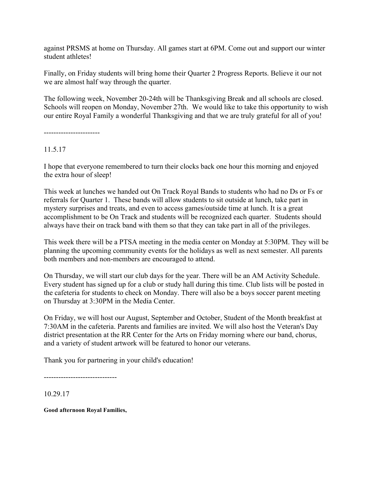against PRSMS at home on Thursday. All games start at 6PM. Come out and support our winter student athletes!

Finally, on Friday students will bring home their Quarter 2 Progress Reports. Believe it our not we are almost half way through the quarter.

The following week, November 20-24th will be Thanksgiving Break and all schools are closed. Schools will reopen on Monday, November 27th. We would like to take this opportunity to wish our entire Royal Family a wonderful Thanksgiving and that we are truly grateful for all of you!

-----------------------

11.5.17

I hope that everyone remembered to turn their clocks back one hour this morning and enjoyed the extra hour of sleep!

This week at lunches we handed out On Track Royal Bands to students who had no Ds or Fs or referrals for Quarter 1. These bands will allow students to sit outside at lunch, take part in mystery surprises and treats, and even to access games/outside time at lunch. It is a great accomplishment to be On Track and students will be recognized each quarter. Students should always have their on track band with them so that they can take part in all of the privileges.

This week there will be a PTSA meeting in the media center on Monday at 5:30PM. They will be planning the upcoming community events for the holidays as well as next semester. All parents both members and non-members are encouraged to attend.

On Thursday, we will start our club days for the year. There will be an AM Activity Schedule. Every student has signed up for a club or study hall during this time. Club lists will be posted in the cafeteria for students to check on Monday. There will also be a boys soccer parent meeting on Thursday at 3:30PM in the Media Center.

On Friday, we will host our August, September and October, Student of the Month breakfast at 7:30AM in the cafeteria. Parents and families are invited. We will also host the Veteran's Day district presentation at the RR Center for the Arts on Friday morning where our band, chorus, and a variety of student artwork will be featured to honor our veterans.

Thank you for partnering in your child's education!

------------------------------

10.29.17

**Good afternoon Royal Families,**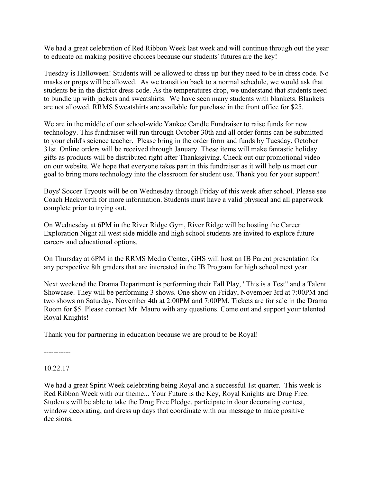We had a great celebration of Red Ribbon Week last week and will continue through out the year to educate on making positive choices because our students' futures are the key!

Tuesday is Halloween! Students will be allowed to dress up but they need to be in dress code. No masks or props will be allowed. As we transition back to a normal schedule, we would ask that students be in the district dress code. As the temperatures drop, we understand that students need to bundle up with jackets and sweatshirts. We have seen many students with blankets. Blankets are not allowed. RRMS Sweatshirts are available for purchase in the front office for \$25.

We are in the middle of our school-wide Yankee Candle Fundraiser to raise funds for new technology. This fundraiser will run through October 30th and all order forms can be submitted to your child's science teacher. Please bring in the order form and funds by Tuesday, October 31st. Online orders will be received through January. These items will make fantastic holiday gifts as products will be distributed right after Thanksgiving. Check out our promotional video on our website. We hope that everyone takes part in this fundraiser as it will help us meet our goal to bring more technology into the classroom for student use. Thank you for your support!

Boys' Soccer Tryouts will be on Wednesday through Friday of this week after school. Please see Coach Hackworth for more information. Students must have a valid physical and all paperwork complete prior to trying out.

On Wednesday at 6PM in the River Ridge Gym, River Ridge will be hosting the Career Exploration Night all west side middle and high school students are invited to explore future careers and educational options.

On Thursday at 6PM in the RRMS Media Center, GHS will host an IB Parent presentation for any perspective 8th graders that are interested in the IB Program for high school next year.

Next weekend the Drama Department is performing their Fall Play, "This is a Test" and a Talent Showcase. They will be performing 3 shows. One show on Friday, November 3rd at 7:00PM and two shows on Saturday, November 4th at 2:00PM and 7:00PM. Tickets are for sale in the Drama Room for \$5. Please contact Mr. Mauro with any questions. Come out and support your talented Royal Knights!

Thank you for partnering in education because we are proud to be Royal!

-----------

10.22.17

We had a great Spirit Week celebrating being Royal and a successful 1st quarter. This week is Red Ribbon Week with our theme... Your Future is the Key, Royal Knights are Drug Free. Students will be able to take the Drug Free Pledge, participate in door decorating contest, window decorating, and dress up days that coordinate with our message to make positive decisions.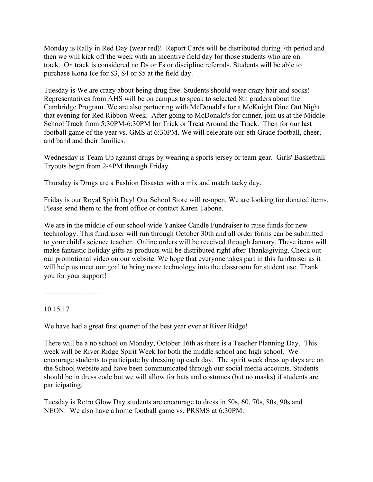Monday is Rally in Red Day (wear red)! Report Cards will be distributed during 7th period and then we will kick off the week with an incentive field day for those students who are on track. On track is considered no Ds or Fs or discipline referrals. Students will be able to purchase Kona Ice for \$3, \$4 or \$5 at the field day.

Tuesday is We are crazy about being drug free. Students should wear crazy hair and socks! Representatives from AHS will be on campus to speak to selected 8th graders about the Cambridge Program. We are also partnering with McDonald's for a McKnight Dine Out Night that evening for Red Ribbon Week. After going to McDonald's for dinner, join us at the Middle School Track from 5:30PM-6:30PM for Trick or Treat Around the Track. Then for our last football game of the year vs. GMS at 6:30PM. We will celebrate our 8th Grade football, cheer, and band and their families.

Wednesday is Team Up against drugs by wearing a sports jersey or team gear. Girls' Basketball Tryouts begin from 2-4PM through Friday.

Thursday is Drugs are a Fashion Disaster with a mix and match tacky day.

Friday is our Royal Spirit Day! Our School Store will re-open. We are looking for donated items. Please send them to the front office or contact Karen Tabone.

We are in the middle of our school-wide Yankee Candle Fundraiser to raise funds for new technology. This fundraiser will run through October 30th and all order forms can be submitted to your child's science teacher. Online orders will be received through January. These items will make fantastic holiday gifts as products will be distributed right after Thanksgiving. Check out our promotional video on our website. We hope that everyone takes part in this fundraiser as it will help us meet our goal to bring more technology into the classroom for student use. Thank you for your support!

-----------------------

10.15.17

We have had a great first quarter of the best year ever at River Ridge!

There will be a no school on Monday, October 16th as there is a Teacher Planning Day. This week will be River Ridge Spirit Week for both the middle school and high school. We encourage students to participate by dressing up each day. The spirit week dress up days are on the School website and have been communicated through our social media accounts. Students should be in dress code but we will allow for hats and costumes (but no masks) if students are participating.

Tuesday is Retro Glow Day students are encourage to dress in 50s, 60, 70s, 80s, 90s and NEON. We also have a home football game vs. PRSMS at 6:30PM.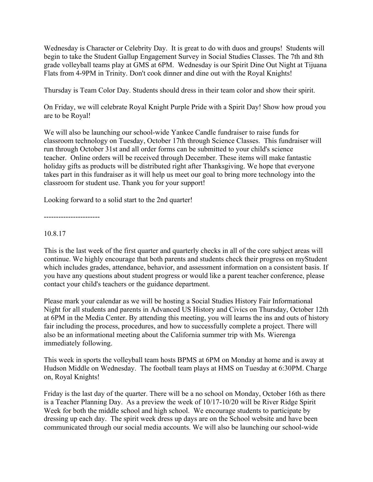Wednesday is Character or Celebrity Day. It is great to do with duos and groups! Students will begin to take the Student Gallup Engagement Survey in Social Studies Classes. The 7th and 8th grade volleyball teams play at GMS at 6PM. Wednesday is our Spirit Dine Out Night at Tijuana Flats from 4-9PM in Trinity. Don't cook dinner and dine out with the Royal Knights!

Thursday is Team Color Day. Students should dress in their team color and show their spirit.

On Friday, we will celebrate Royal Knight Purple Pride with a Spirit Day! Show how proud you are to be Royal!

We will also be launching our school-wide Yankee Candle fundraiser to raise funds for classroom technology on Tuesday, October 17th through Science Classes. This fundraiser will run through October 31st and all order forms can be submitted to your child's science teacher. Online orders will be received through December. These items will make fantastic holiday gifts as products will be distributed right after Thanksgiving. We hope that everyone takes part in this fundraiser as it will help us meet our goal to bring more technology into the classroom for student use. Thank you for your support!

Looking forward to a solid start to the 2nd quarter!

-----------------------

#### 10.8.17

This is the last week of the first quarter and quarterly checks in all of the core subject areas will continue. We highly encourage that both parents and students check their progress on myStudent which includes grades, attendance, behavior, and assessment information on a consistent basis. If you have any questions about student progress or would like a parent teacher conference, please contact your child's teachers or the guidance department.

Please mark your calendar as we will be hosting a Social Studies History Fair Informational Night for all students and parents in Advanced US History and Civics on Thursday, October 12th at 6PM in the Media Center. By attending this meeting, you will learns the ins and outs of history fair including the process, procedures, and how to successfully complete a project. There will also be an informational meeting about the California summer trip with Ms. Wierenga immediately following.

This week in sports the volleyball team hosts BPMS at 6PM on Monday at home and is away at Hudson Middle on Wednesday. The football team plays at HMS on Tuesday at 6:30PM. Charge on, Royal Knights!

Friday is the last day of the quarter. There will be a no school on Monday, October 16th as there is a Teacher Planning Day. As a preview the week of 10/17-10/20 will be River Ridge Spirit Week for both the middle school and high school. We encourage students to participate by dressing up each day. The spirit week dress up days are on the School website and have been communicated through our social media accounts. We will also be launching our school-wide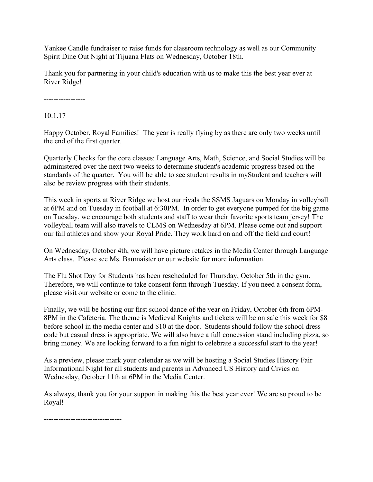Yankee Candle fundraiser to raise funds for classroom technology as well as our Community Spirit Dine Out Night at Tijuana Flats on Wednesday, October 18th.

Thank you for partnering in your child's education with us to make this the best year ever at River Ridge!

-----------------

10.1.17

Happy October, Royal Families! The year is really flying by as there are only two weeks until the end of the first quarter.

Quarterly Checks for the core classes: Language Arts, Math, Science, and Social Studies will be administered over the next two weeks to determine student's academic progress based on the standards of the quarter. You will be able to see student results in myStudent and teachers will also be review progress with their students.

This week in sports at River Ridge we host our rivals the SSMS Jaguars on Monday in volleyball at 6PM and on Tuesday in football at 6:30PM. In order to get everyone pumped for the big game on Tuesday, we encourage both students and staff to wear their favorite sports team jersey! The volleyball team will also travels to CLMS on Wednesday at 6PM. Please come out and support our fall athletes and show your Royal Pride. They work hard on and off the field and court!

On Wednesday, October 4th, we will have picture retakes in the Media Center through Language Arts class. Please see Ms. Baumaister or our website for more information.

The Flu Shot Day for Students has been rescheduled for Thursday, October 5th in the gym. Therefore, we will continue to take consent form through Tuesday. If you need a consent form, please visit our website or come to the clinic.

Finally, we will be hosting our first school dance of the year on Friday, October 6th from 6PM-8PM in the Cafeteria. The theme is Medieval Knights and tickets will be on sale this week for \$8 before school in the media center and \$10 at the door. Students should follow the school dress code but casual dress is appropriate. We will also have a full concession stand including pizza, so bring money. We are looking forward to a fun night to celebrate a successful start to the year!

As a preview, please mark your calendar as we will be hosting a Social Studies History Fair Informational Night for all students and parents in Advanced US History and Civics on Wednesday, October 11th at 6PM in the Media Center.

As always, thank you for your support in making this the best year ever! We are so proud to be Royal!

--------------------------------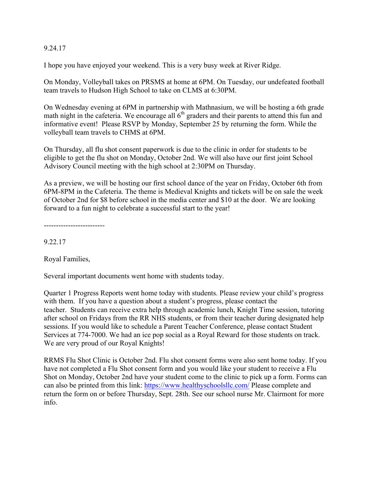#### 9.24.17

I hope you have enjoyed your weekend. This is a very busy week at River Ridge.

On Monday, Volleyball takes on PRSMS at home at 6PM. On Tuesday, our undefeated football team travels to Hudson High School to take on CLMS at 6:30PM.

On Wednesday evening at 6PM in partnership with Mathnasium, we will be hosting a 6th grade math night in the cafeteria. We encourage all  $6<sup>th</sup>$  graders and their parents to attend this fun and informative event! Please RSVP by Monday, September 25 by returning the form. While the volleyball team travels to CHMS at 6PM.

On Thursday, all flu shot consent paperwork is due to the clinic in order for students to be eligible to get the flu shot on Monday, October 2nd. We will also have our first joint School Advisory Council meeting with the high school at 2:30PM on Thursday.

As a preview, we will be hosting our first school dance of the year on Friday, October 6th from 6PM-8PM in the Cafeteria. The theme is Medieval Knights and tickets will be on sale the week of October 2nd for \$8 before school in the media center and \$10 at the door. We are looking forward to a fun night to celebrate a successful start to the year!

-------------------------

9.22.17

Royal Families,

Several important documents went home with students today.

Quarter 1 Progress Reports went home today with students. Please review your child's progress with them. If you have a question about a student's progress, please contact the teacher. Students can receive extra help through academic lunch, Knight Time session, tutoring after school on Fridays from the RR NHS students, or from their teacher during designated help sessions. If you would like to schedule a Parent Teacher Conference, please contact Student Services at 774-7000. We had an ice pop social as a Royal Reward for those students on track. We are very proud of our Royal Knights!

RRMS Flu Shot Clinic is October 2nd. Flu shot consent forms were also sent home today. If you have not completed a Flu Shot consent form and you would like your student to receive a Flu Shot on Monday, October 2nd have your student come to the clinic to pick up a form. Forms can can also be printed from this link: https://www.healthyschoolsllc.com/ Please complete and return the form on or before Thursday, Sept. 28th. See our school nurse Mr. Clairmont for more info.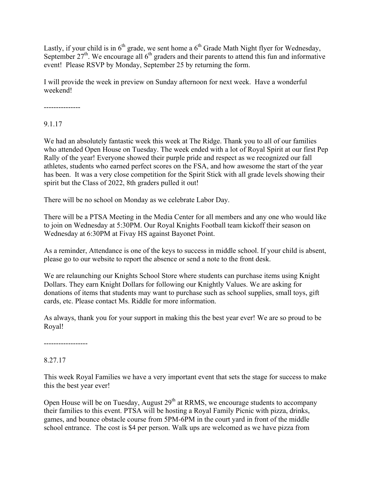Lastly, if your child is in 6<sup>th</sup> grade, we sent home a 6<sup>th</sup> Grade Math Night flyer for Wednesday, September  $27<sup>th</sup>$ . We encourage all  $6<sup>th</sup>$  graders and their parents to attend this fun and informative event! Please RSVP by Monday, September 25 by returning the form.

I will provide the week in preview on Sunday afternoon for next week. Have a wonderful weekend!

---------------

9.1.17

We had an absolutely fantastic week this week at The Ridge. Thank you to all of our families who attended Open House on Tuesday. The week ended with a lot of Royal Spirit at our first Pep Rally of the year! Everyone showed their purple pride and respect as we recognized our fall athletes, students who earned perfect scores on the FSA, and how awesome the start of the year has been. It was a very close competition for the Spirit Stick with all grade levels showing their spirit but the Class of 2022, 8th graders pulled it out!

There will be no school on Monday as we celebrate Labor Day.

There will be a PTSA Meeting in the Media Center for all members and any one who would like to join on Wednesday at 5:30PM. Our Royal Knights Football team kickoff their season on Wednesday at 6:30PM at Fivay HS against Bayonet Point.

As a reminder, Attendance is one of the keys to success in middle school. If your child is absent, please go to our website to report the absence or send a note to the front desk.

We are relaunching our Knights School Store where students can purchase items using Knight Dollars. They earn Knight Dollars for following our Knightly Values. We are asking for donations of items that students may want to purchase such as school supplies, small toys, gift cards, etc. Please contact Ms. Riddle for more information.

As always, thank you for your support in making this the best year ever! We are so proud to be Royal!

------------------

8.27.17

This week Royal Families we have a very important event that sets the stage for success to make this the best year ever!

Open House will be on Tuesday, August  $29<sup>th</sup>$  at RRMS, we encourage students to accompany their families to this event. PTSA will be hosting a Royal Family Picnic with pizza, drinks, games, and bounce obstacle course from 5PM-6PM in the court yard in front of the middle school entrance. The cost is \$4 per person. Walk ups are welcomed as we have pizza from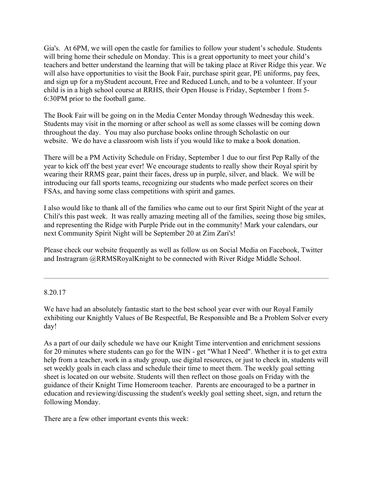Gia's. At 6PM, we will open the castle for families to follow your student's schedule. Students will bring home their schedule on Monday. This is a great opportunity to meet your child's teachers and better understand the learning that will be taking place at River Ridge this year. We will also have opportunities to visit the Book Fair, purchase spirit gear, PE uniforms, pay fees, and sign up for a myStudent account, Free and Reduced Lunch, and to be a volunteer. If your child is in a high school course at RRHS, their Open House is Friday, September 1 from 5- 6:30PM prior to the football game.

The Book Fair will be going on in the Media Center Monday through Wednesday this week. Students may visit in the morning or after school as well as some classes will be coming down throughout the day. You may also purchase books online through Scholastic on our website. We do have a classroom wish lists if you would like to make a book donation.

There will be a PM Activity Schedule on Friday, September 1 due to our first Pep Rally of the year to kick off the best year ever! We encourage students to really show their Royal spirit by wearing their RRMS gear, paint their faces, dress up in purple, silver, and black. We will be introducing our fall sports teams, recognizing our students who made perfect scores on their FSAs, and having some class competitions with spirit and games.

I also would like to thank all of the families who came out to our first Spirit Night of the year at Chili's this past week. It was really amazing meeting all of the families, seeing those big smiles, and representing the Ridge with Purple Pride out in the community! Mark your calendars, our next Community Spirit Night will be September 20 at Zim Zari's!

Please check our website frequently as well as follow us on Social Media on Facebook, Twitter and Instragram @RRMSRoyalKnight to be connected with River Ridge Middle School.

8.20.17

We have had an absolutely fantastic start to the best school year ever with our Royal Family exhibiting our Knightly Values of Be Respectful, Be Responsible and Be a Problem Solver every day!

As a part of our daily schedule we have our Knight Time intervention and enrichment sessions for 20 minutes where students can go for the WIN - get "What I Need". Whether it is to get extra help from a teacher, work in a study group, use digital resources, or just to check in, students will set weekly goals in each class and schedule their time to meet them. The weekly goal setting sheet is located on our website. Students will then reflect on those goals on Friday with the guidance of their Knight Time Homeroom teacher. Parents are encouraged to be a partner in education and reviewing/discussing the student's weekly goal setting sheet, sign, and return the following Monday.

There are a few other important events this week: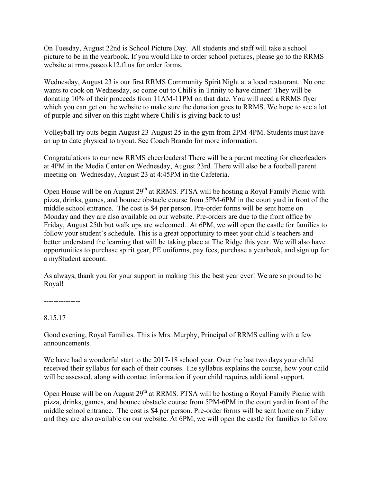On Tuesday, August 22nd is School Picture Day. All students and staff will take a school picture to be in the yearbook. If you would like to order school pictures, please go to the RRMS website at rrms.pasco.k12.fl.us for order forms.

Wednesday, August 23 is our first RRMS Community Spirit Night at a local restaurant. No one wants to cook on Wednesday, so come out to Chili's in Trinity to have dinner! They will be donating 10% of their proceeds from 11AM-11PM on that date. You will need a RRMS flyer which you can get on the website to make sure the donation goes to RRMS. We hope to see a lot of purple and silver on this night where Chili's is giving back to us!

Volleyball try outs begin August 23-August 25 in the gym from 2PM-4PM. Students must have an up to date physical to tryout. See Coach Brando for more information.

Congratulations to our new RRMS cheerleaders! There will be a parent meeting for cheerleaders at 4PM in the Media Center on Wednesday, August 23rd. There will also be a football parent meeting on Wednesday, August 23 at 4:45PM in the Cafeteria.

Open House will be on August 29<sup>th</sup> at RRMS. PTSA will be hosting a Royal Family Picnic with pizza, drinks, games, and bounce obstacle course from 5PM-6PM in the court yard in front of the middle school entrance. The cost is \$4 per person. Pre-order forms will be sent home on Monday and they are also available on our website. Pre-orders are due to the front office by Friday, August 25th but walk ups are welcomed. At 6PM, we will open the castle for families to follow your student's schedule. This is a great opportunity to meet your child's teachers and better understand the learning that will be taking place at The Ridge this year. We will also have opportunities to purchase spirit gear, PE uniforms, pay fees, purchase a yearbook, and sign up for a myStudent account.

As always, thank you for your support in making this the best year ever! We are so proud to be Royal!

---------------

## 8.15.17

Good evening, Royal Families. This is Mrs. Murphy, Principal of RRMS calling with a few announcements.

We have had a wonderful start to the 2017-18 school year. Over the last two days your child received their syllabus for each of their courses. The syllabus explains the course, how your child will be assessed, along with contact information if your child requires additional support.

Open House will be on August 29<sup>th</sup> at RRMS. PTSA will be hosting a Royal Family Picnic with pizza, drinks, games, and bounce obstacle course from 5PM-6PM in the court yard in front of the middle school entrance. The cost is \$4 per person. Pre-order forms will be sent home on Friday and they are also available on our website. At 6PM, we will open the castle for families to follow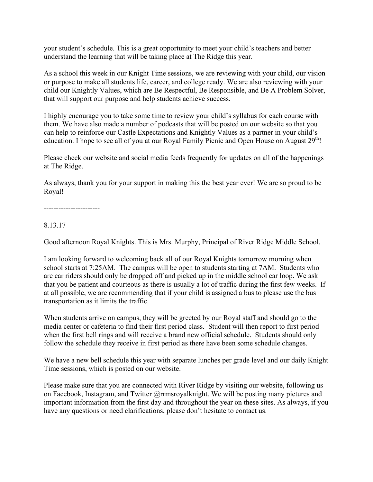your student's schedule. This is a great opportunity to meet your child's teachers and better understand the learning that will be taking place at The Ridge this year.

As a school this week in our Knight Time sessions, we are reviewing with your child, our vision or purpose to make all students life, career, and college ready. We are also reviewing with your child our Knightly Values, which are Be Respectful, Be Responsible, and Be A Problem Solver, that will support our purpose and help students achieve success.

I highly encourage you to take some time to review your child's syllabus for each course with them. We have also made a number of podcasts that will be posted on our website so that you can help to reinforce our Castle Expectations and Knightly Values as a partner in your child's education. I hope to see all of you at our Royal Family Picnic and Open House on August  $29<sup>th</sup>$ !

Please check our website and social media feeds frequently for updates on all of the happenings at The Ridge.

As always, thank you for your support in making this the best year ever! We are so proud to be Royal!

-----------------------

## 8.13.17

Good afternoon Royal Knights. This is Mrs. Murphy, Principal of River Ridge Middle School.

I am looking forward to welcoming back all of our Royal Knights tomorrow morning when school starts at 7:25AM. The campus will be open to students starting at 7AM. Students who are car riders should only be dropped off and picked up in the middle school car loop. We ask that you be patient and courteous as there is usually a lot of traffic during the first few weeks. If at all possible, we are recommending that if your child is assigned a bus to please use the bus transportation as it limits the traffic.

When students arrive on campus, they will be greeted by our Royal staff and should go to the media center or cafeteria to find their first period class. Student will then report to first period when the first bell rings and will receive a brand new official schedule. Students should only follow the schedule they receive in first period as there have been some schedule changes.

We have a new bell schedule this year with separate lunches per grade level and our daily Knight Time sessions, which is posted on our website.

Please make sure that you are connected with River Ridge by visiting our website, following us on Facebook, Instagram, and Twitter @rrmsroyalknight. We will be posting many pictures and important information from the first day and throughout the year on these sites. As always, if you have any questions or need clarifications, please don't hesitate to contact us.